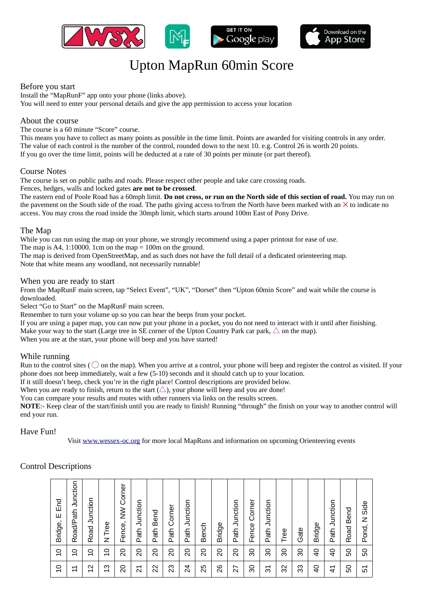

# Upton MapRun 60min Score

## Before you start

Install the "MapRunF" app onto your phone (links above). You will need to enter your personal details and give the app permission to access your location

## About the course

The course is a 60 minute "Score" course.

This means you have to collect as many points as possible in the time limit. Points are awarded for visiting controls in any order. The value of each control is the number of the control, rounded down to the next 10. e.g. Control 26 is worth 20 points. If you go over the time limit, points will be deducted at a rate of 30 points per minute (or part thereof).

### Course Notes

The course is set on public paths and roads. Please respect other people and take care crossing roads.

#### Fences, hedges, walls and locked gates **are not to be crossed**.

The eastern end of Poole Road has a 60mph limit. **Do not cross, or run on the North side of this section of road.** You may run on the pavement on the South side of the road. The paths giving access to/from the North have been marked with an  $\times$  to indicate no access. You may cross the road inside the 30mph limit, which starts around 100m East of Pony Drive.

### The Map

While you can run using the map on your phone, we strongly recommend using a paper printout for ease of use.

The map is A4, 1:10000. 1cm on the map  $= 100$ m on the ground.

The map is derived from OpenStreetMap, and as such does not have the full detail of a dedicated orienteering map. Note that white means any woodland, not necessarily runnable!

### When you are ready to start

From the MapRunF main screen, tap "Select Event", "UK", "Dorset" then "Upton 60min Score" and wait while the course is downloaded.

Select "Go to Start" on the MapRunF main screen.

Remember to turn your volume up so you can hear the beeps from your pocket.

If you are using a paper map, you can now put your phone in a pocket, you do not need to interact with it until after finishing. Make your way to the start (Large tree in SE corner of the Upton Country Park car park,  $\triangle$  on the map). When you are at the start, your phone will beep and you have started!

### While running

Run to the control sites ( $\bigcirc$  on the map). When you arrive at a control, your phone will beep and register the control as visited. If your phone does not beep immediately, wait a few (5-10) seconds and it should catch up to your location.

If it still doesn't beep, check you're in the right place! Control descriptions are provided below.

When you are ready to finish, return to the start  $(\triangle)$ , your phone will beep and you are done!

You can compare your results and routes with other runners via links on the results screen.

**NOTE**:- Keep clear of the start/finish until you are ready to finish! Running "through" the finish on your way to another control will end your run.

## Have Fun!

Visit [www.wessex-oc.org](http://www.wessex-oc.org/) for more local MapRuns and information on upcoming Orienteering events

## Control Descriptions

| $\Omega$                      | $\Omega$ | Ε'n<br>Щ<br>Bridge,        |
|-------------------------------|----------|----------------------------|
| 님                             | $\Omega$ | Junction<br>Road/Path      |
| $^{2}$                        | $\Omega$ | Junction<br>Road           |
| ო<br>$\overline{\phantom{0}}$ | g        | Tree<br>Z                  |
| $\overline{c}$                | 20       | Corner<br>$\geq$<br>Fence, |
| $\overline{2}$                | $\Omega$ | Junction<br>Path           |
| 22                            | 20       | Bend<br>Path               |
| 23                            | 20       | Corner<br>ath<br>≏         |
| 24                            | 20       | Junction<br>Path           |
| 25                            | 20       | <b>Bench</b>               |
| 26                            | 20       | <b>Bridge</b>              |
| $\overline{ }$<br>$\sim$      | 20       | Junction<br>ath<br>تم      |
| 80                            | 8        | Corner<br>Fence            |
| ನ                             | 80       | Junction<br>Path.          |
| 32                            | 8        | Tree                       |
| 33                            | ೫        | Gate                       |
| $\overline{a}$                | ੩        | <b>Bridge</b>              |
| $\overline{4}$                | $\theta$ | Junction<br>Path           |
| 50                            | 50       | <b>Bend</b><br>Road        |
| 51                            | 50       | Side<br>Z<br>Pond,         |